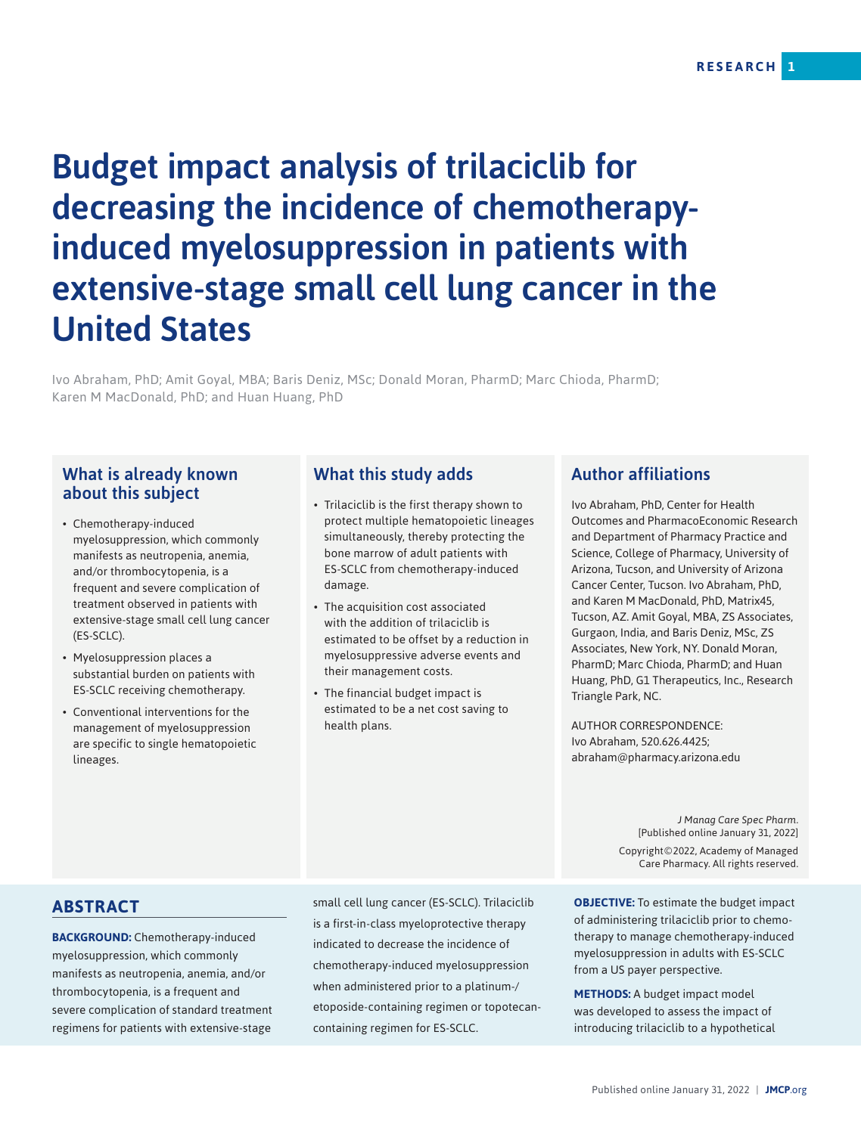# Budget impact analysis of trilaciclib for decreasing the incidence of chemotherapyinduced myelosuppression in patients with extensive-stage small cell lung cancer in the United States

Ivo Abraham, PhD; Amit Goyal, MBA; Baris Deniz, MSc; Donald Moran, PharmD; Marc Chioda, PharmD; Karen M MacDonald, PhD; and Huan Huang, PhD

## What is already known about this subject

- Chemotherapy-induced myelosuppression, which commonly manifests as neutropenia, anemia, and/or thrombocytopenia, is a frequent and severe complication of treatment observed in patients with extensive-stage small cell lung cancer (ES-SCLC).
- Myelosuppression places a substantial burden on patients with ES-SCLC receiving chemotherapy.
- Conventional interventions for the management of myelosuppression are specific to single hematopoietic lineages.

## What this study adds

- Trilaciclib is the first therapy shown to protect multiple hematopoietic lineages simultaneously, thereby protecting the bone marrow of adult patients with ES-SCLC from chemotherapy-induced damage.
- The acquisition cost associated with the addition of trilaciclib is estimated to be offset by a reduction in myelosuppressive adverse events and their management costs.
- The financial budget impact is estimated to be a net cost saving to health plans.

## Author affiliations

Ivo Abraham, PhD, Center for Health Outcomes and PharmacoEconomic Research and Department of Pharmacy Practice and Science, College of Pharmacy, University of Arizona, Tucson, and University of Arizona Cancer Center, Tucson. Ivo Abraham, PhD, and Karen M MacDonald, PhD, Matrix45, Tucson, AZ. Amit Goyal, MBA, ZS Associates, Gurgaon, India, and Baris Deniz, MSc, ZS Associates, New York, NY. Donald Moran, PharmD; Marc Chioda, PharmD; and Huan Huang, PhD, G1 Therapeutics, Inc., Research Triangle Park, NC.

AUTHOR CORRESPONDENCE: Ivo Abraham, 520.626.4425; abraham@pharmacy.arizona.edu

> *J Manag Care Spec Pharm.*  [Published online January 31, 2022] Copyright©2022, Academy of Managed Care Pharmacy. All rights reserved.

### **ABSTRACT**

**BACKGROUND:** Chemotherapy-induced myelosuppression, which commonly manifests as neutropenia, anemia, and/or thrombocytopenia, is a frequent and severe complication of standard treatment regimens for patients with extensive-stage

small cell lung cancer (ES-SCLC). Trilaciclib is a first-in-class myeloprotective therapy indicated to decrease the incidence of chemotherapy-induced myelosuppression when administered prior to a platinum-/ etoposide-containing regimen or topotecancontaining regimen for ES-SCLC.

**OBJECTIVE:** To estimate the budget impact of administering trilaciclib prior to chemotherapy to manage chemotherapy-induced myelosuppression in adults with ES-SCLC from a US payer perspective. J Manag Care Spec Pharm.<br>
[Published online January 31, 2022]<br>
Copyright©2022, Academy of Managed<br>
Care Pharmacy. All rights reserved.<br> **IECTIVE:** To estimate the budget impact<br> **IECTIVE:** To estimate the budget impact<br>
dm

**METHODS:** A budget impact model was developed to assess the impact of introducing trilaciclib to a hypothetical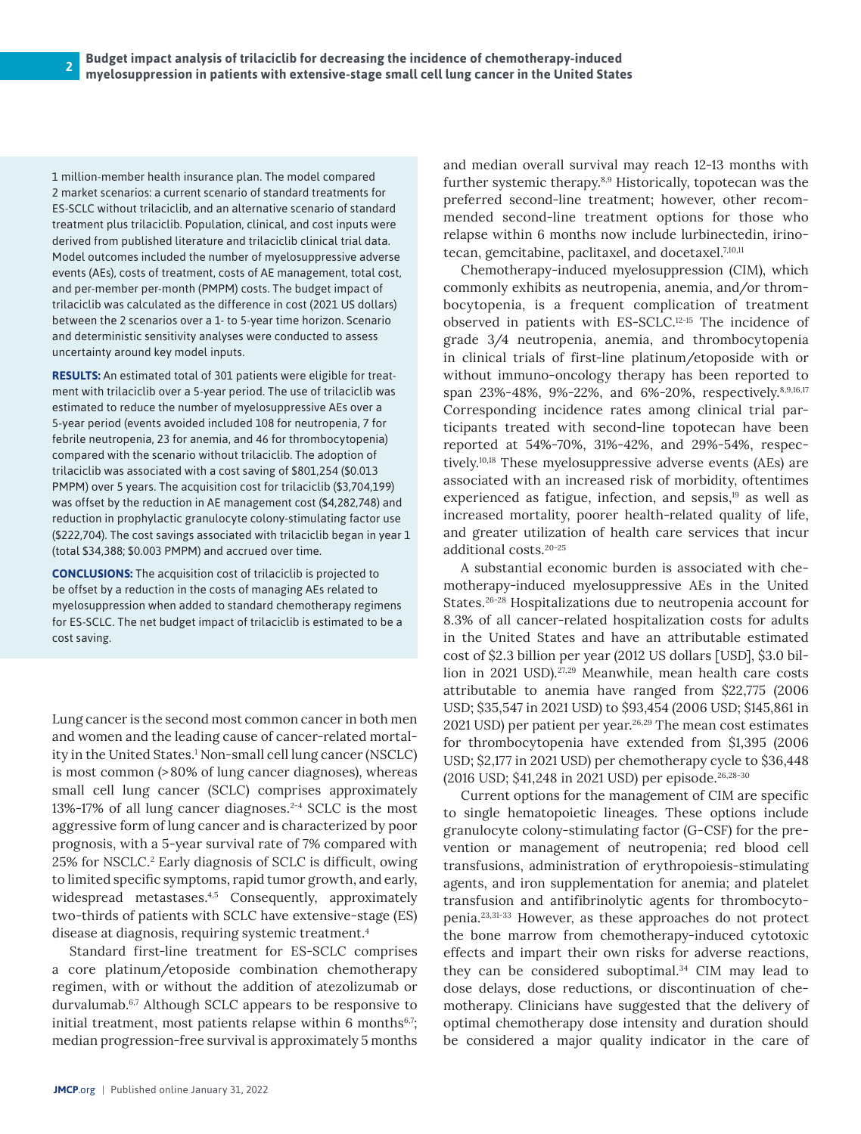1 million-member health insurance plan. The model compared 2 market scenarios: a current scenario of standard treatments for ES-SCLC without trilaciclib, and an alternative scenario of standard treatment plus trilaciclib. Population, clinical, and cost inputs were derived from published literature and trilaciclib clinical trial data. Model outcomes included the number of myelosuppressive adverse events (AEs), costs of treatment, costs of AE management, total cost, and per-member per-month (PMPM) costs. The budget impact of trilaciclib was calculated as the difference in cost (2021 US dollars) between the 2 scenarios over a 1- to 5-year time horizon. Scenario and deterministic sensitivity analyses were conducted to assess uncertainty around key model inputs.

**RESULTS:** An estimated total of 301 patients were eligible for treatment with trilaciclib over a 5-year period. The use of trilaciclib was estimated to reduce the number of myelosuppressive AEs over a 5-year period (events avoided included 108 for neutropenia, 7 for febrile neutropenia, 23 for anemia, and 46 for thrombocytopenia) compared with the scenario without trilaciclib. The adoption of trilaciclib was associated with a cost saving of \$801,254 (\$0.013 PMPM) over 5 years. The acquisition cost for trilaciclib (\$3,704,199) was offset by the reduction in AE management cost (\$4,282,748) and reduction in prophylactic granulocyte colony-stimulating factor use (\$222,704). The cost savings associated with trilaciclib began in year 1 (total \$34,388; \$0.003 PMPM) and accrued over time.

**CONCLUSIONS:** The acquisition cost of trilaciclib is projected to be offset by a reduction in the costs of managing AEs related to myelosuppression when added to standard chemotherapy regimens for ES-SCLC. The net budget impact of trilaciclib is estimated to be a cost saving.

Lung cancer is the second most common cancer in both men and women and the leading cause of cancer-related mortality in the United States.<sup>1</sup> Non-small cell lung cancer (NSCLC) is most common (>80% of lung cancer diagnoses), whereas small cell lung cancer (SCLC) comprises approximately 13%-17% of all lung cancer diagnoses.<sup>2-4</sup> SCLC is the most aggressive form of lung cancer and is characterized by poor prognosis, with a 5-year survival rate of 7% compared with 25% for NSCLC.<sup>2</sup> Early diagnosis of SCLC is difficult, owing to limited specific symptoms, rapid tumor growth, and early, widespread metastases.<sup>4,5</sup> Consequently, approximately two-thirds of patients with SCLC have extensive-stage (ES) disease at diagnosis, requiring systemic treatment.4

Standard first-line treatment for ES-SCLC comprises a core platinum/etoposide combination chemotherapy regimen, with or without the addition of atezolizumab or durvalumab.<sup>6,7</sup> Although SCLC appears to be responsive to initial treatment, most patients relapse within 6 months $6,7$ ; median progression-free survival is approximately 5 months

and median overall survival may reach 12-13 months with further systemic therapy.8,9 Historically, topotecan was the preferred second-line treatment; however, other recommended second-line treatment options for those who relapse within 6 months now include lurbinectedin, irinotecan, gemcitabine, paclitaxel, and docetaxel.<sup>7,10,11</sup>

Chemotherapy-induced myelosuppression (CIM), which commonly exhibits as neutropenia, anemia, and/or thrombocytopenia, is a frequent complication of treatment observed in patients with ES-SCLC.12-15 The incidence of grade 3/4 neutropenia, anemia, and thrombocytopenia in clinical trials of first-line platinum/etoposide with or without immuno-oncology therapy has been reported to span 23%-48%, 9%-22%, and 6%-20%, respectively.8,9,16,17 Corresponding incidence rates among clinical trial participants treated with second-line topotecan have been reported at 54%-70%, 31%-42%, and 29%-54%, respectively.10,18 These myelosuppressive adverse events (AEs) are associated with an increased risk of morbidity, oftentimes experienced as fatigue, infection, and sepsis,<sup>19</sup> as well as increased mortality, poorer health-related quality of life, and greater utilization of health care services that incur additional costs.20-25

A substantial economic burden is associated with chemotherapy-induced myelosuppressive AEs in the United States.26-28 Hospitalizations due to neutropenia account for 8.3% of all cancer-related hospitalization costs for adults in the United States and have an attributable estimated cost of \$2.3 billion per year (2012 US dollars [USD], \$3.0 billion in 2021 USD).27,29 Meanwhile, mean health care costs attributable to anemia have ranged from \$22,775 (2006 USD; \$35,547 in 2021 USD) to \$93,454 (2006 USD; \$145,861 in 2021 USD) per patient per year.<sup>26,29</sup> The mean cost estimates for thrombocytopenia have extended from \$1,395 (2006 USD; \$2,177 in 2021 USD) per chemotherapy cycle to \$36,448 (2016 USD; \$41,248 in 2021 USD) per episode.26,28-30

Current options for the management of CIM are specific to single hematopoietic lineages. These options include granulocyte colony-stimulating factor (G-CSF) for the prevention or management of neutropenia; red blood cell transfusions, administration of erythropoiesis-stimulating agents, and iron supplementation for anemia; and platelet transfusion and antifibrinolytic agents for thrombocytopenia.23,31-33 However, as these approaches do not protect the bone marrow from chemotherapy-induced cytotoxic effects and impart their own risks for adverse reactions, they can be considered suboptimal. $34$  CIM may lead to dose delays, dose reductions, or discontinuation of chemotherapy. Clinicians have suggested that the delivery of optimal chemotherapy dose intensity and duration should be considered a major quality indicator in the care of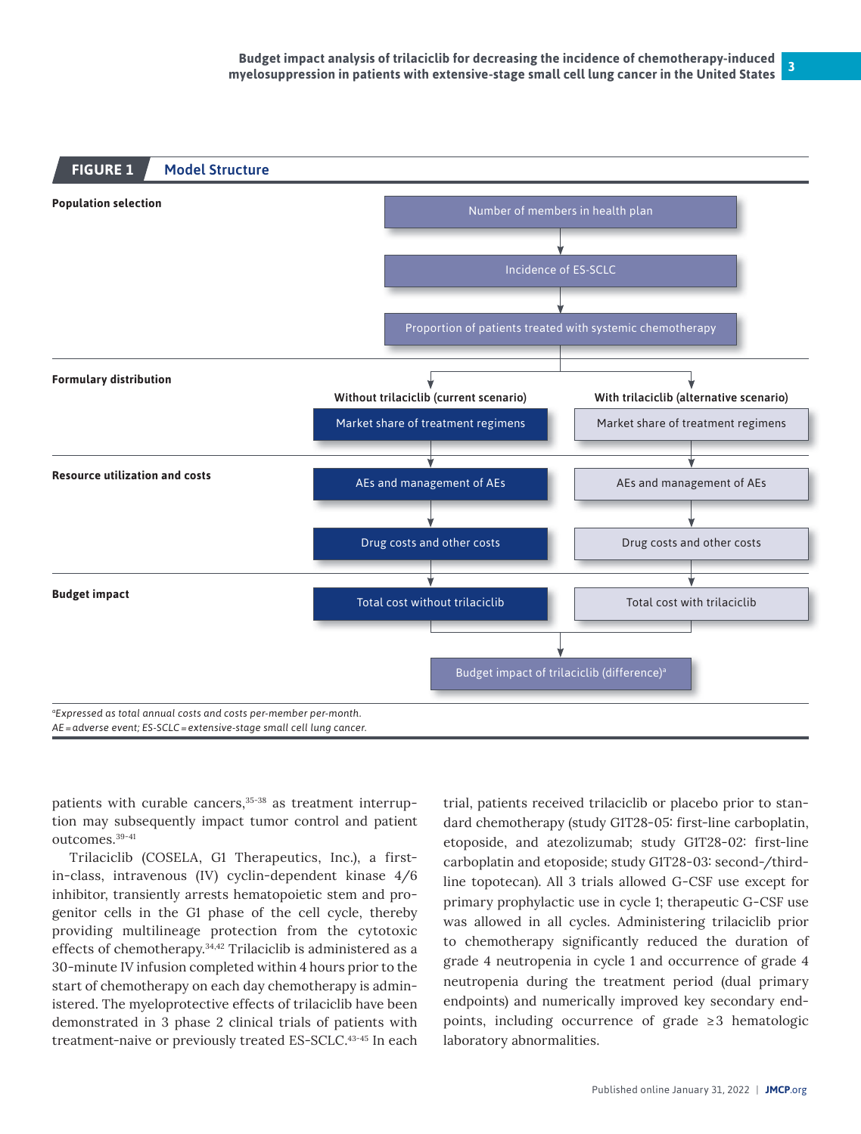

patients with curable cancers,<sup>35-38</sup> as treatment interruption may subsequently impact tumor control and patient outcomes.39-41

Trilaciclib (COSELA, G1 Therapeutics, Inc.), a firstin-class, intravenous (IV) cyclin-dependent kinase 4/6 inhibitor, transiently arrests hematopoietic stem and progenitor cells in the G1 phase of the cell cycle, thereby providing multilineage protection from the cytotoxic effects of chemotherapy.34,42 Trilaciclib is administered as a 30-minute IV infusion completed within 4 hours prior to the start of chemotherapy on each day chemotherapy is administered. The myeloprotective effects of trilaciclib have been demonstrated in 3 phase 2 clinical trials of patients with treatment-naive or previously treated ES-SCLC.43-45 In each

trial, patients received trilaciclib or placebo prior to standard chemotherapy (study G1T28-05: first-line carboplatin, etoposide, and atezolizumab; study G1T28-02: first-line carboplatin and etoposide; study G1T28-03: second-/thirdline topotecan). All 3 trials allowed G-CSF use except for primary prophylactic use in cycle 1; therapeutic G-CSF use was allowed in all cycles. Administering trilaciclib prior to chemotherapy significantly reduced the duration of grade 4 neutropenia in cycle 1 and occurrence of grade 4 neutropenia during the treatment period (dual primary endpoints) and numerically improved key secondary endpoints, including occurrence of grade  $\geq 3$  hematologic laboratory abnormalities.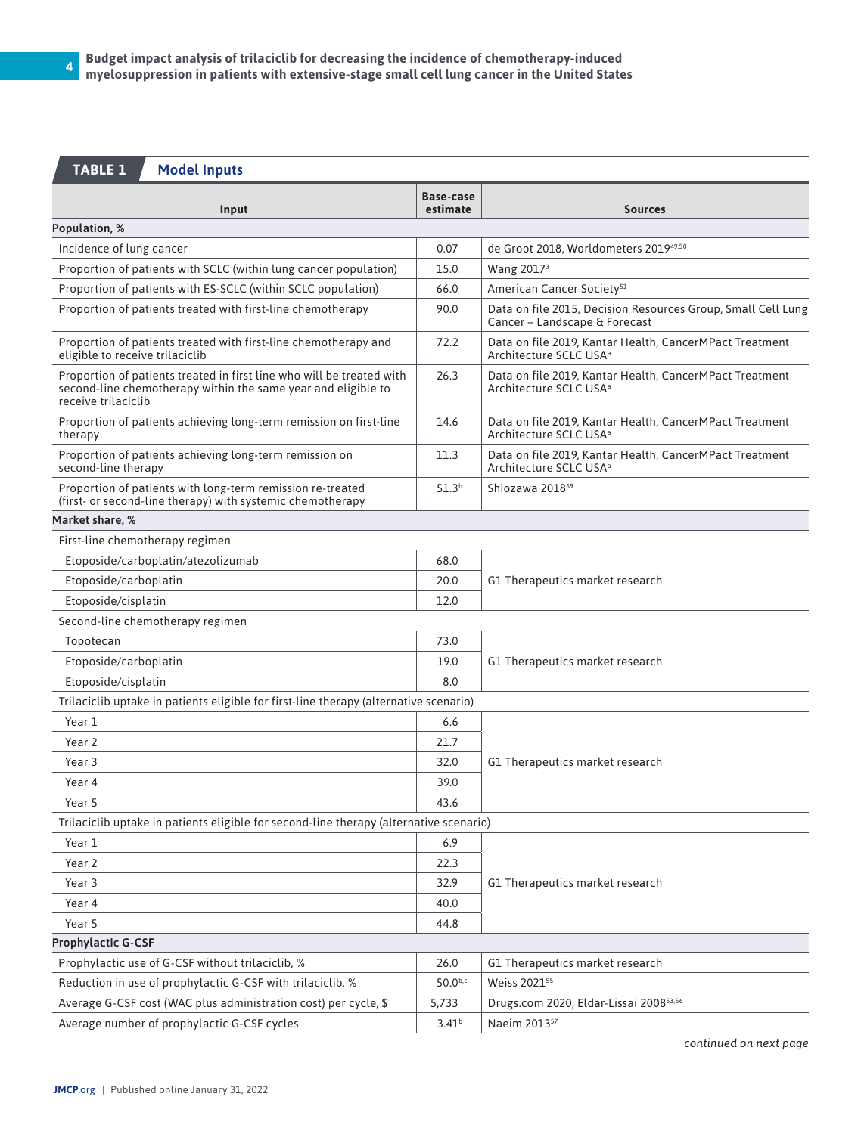# **TABLE 1** Model Inputs

| Input                                                                                                                                                         | <b>Base-case</b><br>estimate | <b>Sources</b>                                                                                |  |  |  |  |
|---------------------------------------------------------------------------------------------------------------------------------------------------------------|------------------------------|-----------------------------------------------------------------------------------------------|--|--|--|--|
| Population, %                                                                                                                                                 |                              |                                                                                               |  |  |  |  |
| Incidence of lung cancer                                                                                                                                      | 0.07                         | de Groot 2018, Worldometers 201949,50                                                         |  |  |  |  |
| Proportion of patients with SCLC (within lung cancer population)                                                                                              | 15.0                         | Wang 2017 <sup>3</sup>                                                                        |  |  |  |  |
| Proportion of patients with ES-SCLC (within SCLC population)                                                                                                  | 66.0                         | American Cancer Society <sup>51</sup>                                                         |  |  |  |  |
| Proportion of patients treated with first-line chemotherapy                                                                                                   | 90.0                         | Data on file 2015, Decision Resources Group, Small Cell Lung<br>Cancer - Landscape & Forecast |  |  |  |  |
| Proportion of patients treated with first-line chemotherapy and<br>eligible to receive trilaciclib                                                            | 72.2                         | Data on file 2019, Kantar Health, CancerMPact Treatment<br>Architecture SCLC USA <sup>a</sup> |  |  |  |  |
| Proportion of patients treated in first line who will be treated with<br>second-line chemotherapy within the same year and eligible to<br>receive trilaciclib | 26.3                         | Data on file 2019, Kantar Health, CancerMPact Treatment<br>Architecture SCLC USA <sup>a</sup> |  |  |  |  |
| Proportion of patients achieving long-term remission on first-line<br>therapy                                                                                 | 14.6                         | Data on file 2019, Kantar Health, CancerMPact Treatment<br>Architecture SCLC USA <sup>a</sup> |  |  |  |  |
| Proportion of patients achieving long-term remission on<br>second-line therapy                                                                                | 11.3                         | Data on file 2019, Kantar Health, CancerMPact Treatment<br>Architecture SCLC USA <sup>a</sup> |  |  |  |  |
| Proportion of patients with long-term remission re-treated<br>(first- or second-line therapy) with systemic chemotherapy                                      | 51.3 <sup>b</sup>            | Shiozawa 2018 <sup>69</sup>                                                                   |  |  |  |  |
| Market share, %                                                                                                                                               |                              |                                                                                               |  |  |  |  |
| First-line chemotherapy regimen                                                                                                                               |                              |                                                                                               |  |  |  |  |
| Etoposide/carboplatin/atezolizumab                                                                                                                            | 68.0                         |                                                                                               |  |  |  |  |
| Etoposide/carboplatin                                                                                                                                         | 20.0                         | G1 Therapeutics market research                                                               |  |  |  |  |
| Etoposide/cisplatin                                                                                                                                           | 12.0                         |                                                                                               |  |  |  |  |
| Second-line chemotherapy regimen                                                                                                                              |                              |                                                                                               |  |  |  |  |
| Topotecan                                                                                                                                                     | 73.0                         |                                                                                               |  |  |  |  |
| Etoposide/carboplatin                                                                                                                                         | 19.0                         | G1 Therapeutics market research                                                               |  |  |  |  |
| Etoposide/cisplatin                                                                                                                                           | 8.0                          |                                                                                               |  |  |  |  |
| Trilaciclib uptake in patients eligible for first-line therapy (alternative scenario)                                                                         |                              |                                                                                               |  |  |  |  |
| Year 1                                                                                                                                                        | 6.6                          |                                                                                               |  |  |  |  |
| Year 2                                                                                                                                                        | 21.7                         |                                                                                               |  |  |  |  |
| Year 3                                                                                                                                                        | 32.0                         | G1 Therapeutics market research                                                               |  |  |  |  |
| Year 4                                                                                                                                                        | 39.0                         |                                                                                               |  |  |  |  |
| Year 5                                                                                                                                                        | 43.6                         |                                                                                               |  |  |  |  |
| Trilaciclib uptake in patients eligible for second-line therapy (alternative scenario)                                                                        |                              |                                                                                               |  |  |  |  |
| Year 1                                                                                                                                                        | 6.9                          |                                                                                               |  |  |  |  |
| Year 2                                                                                                                                                        | 22.3                         |                                                                                               |  |  |  |  |
| Year 3                                                                                                                                                        | 32.9                         | G1 Therapeutics market research                                                               |  |  |  |  |
| Year 4                                                                                                                                                        | 40.0                         |                                                                                               |  |  |  |  |
| Year 5                                                                                                                                                        | 44.8                         |                                                                                               |  |  |  |  |
| <b>Prophylactic G-CSF</b>                                                                                                                                     |                              |                                                                                               |  |  |  |  |
| Prophylactic use of G-CSF without trilaciclib, %                                                                                                              | 26.0                         | G1 Therapeutics market research                                                               |  |  |  |  |
| Reduction in use of prophylactic G-CSF with trilaciclib, %                                                                                                    | $50.0^{b,c}$                 | Weiss 2021 <sup>55</sup>                                                                      |  |  |  |  |
| Average G-CSF cost (WAC plus administration cost) per cycle, \$                                                                                               | 5,733                        | Drugs.com 2020, Eldar-Lissai 200853,56                                                        |  |  |  |  |
| Average number of prophylactic G-CSF cycles                                                                                                                   | 3.41 <sup>b</sup>            | Naeim 2013 <sup>57</sup>                                                                      |  |  |  |  |

*continued on next page*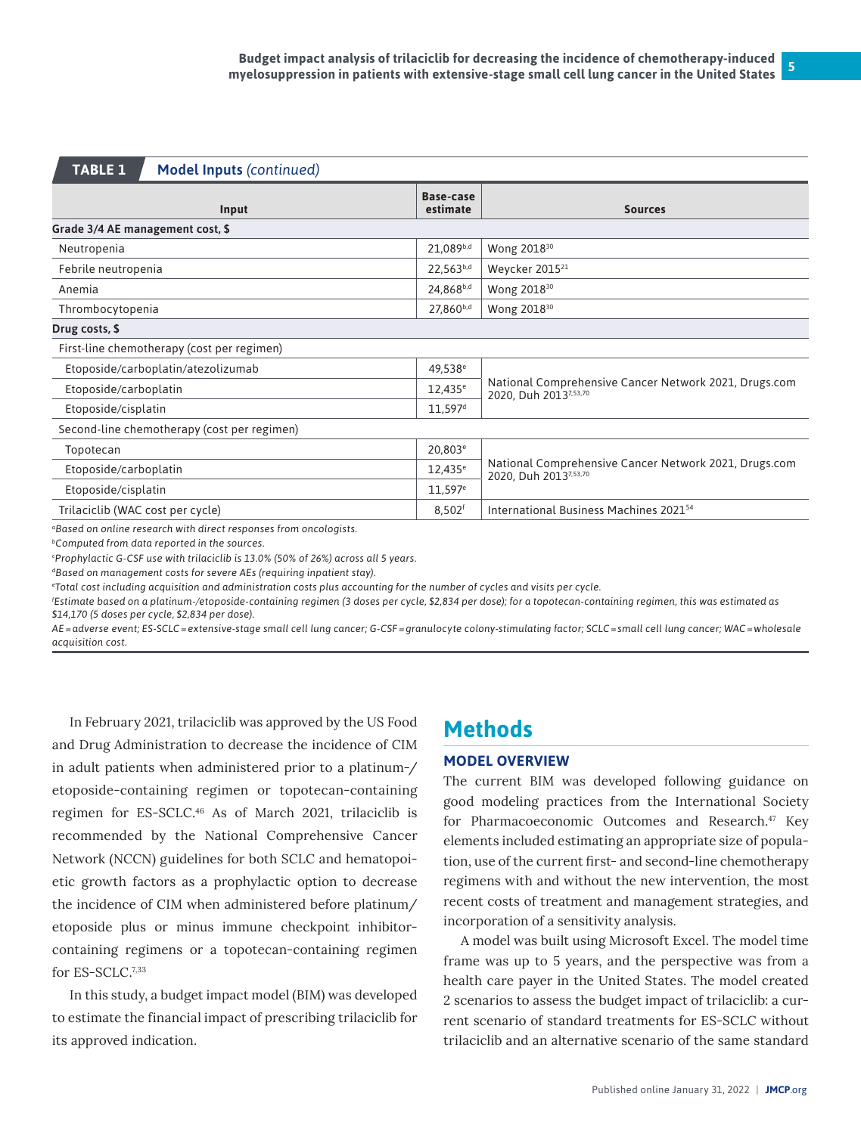| <b>TABLE 1</b>                              | <b>Model Inputs (continued)</b>                                               |                              |                                                                                |  |  |  |
|---------------------------------------------|-------------------------------------------------------------------------------|------------------------------|--------------------------------------------------------------------------------|--|--|--|
|                                             | Input                                                                         | <b>Base-case</b><br>estimate | <b>Sources</b>                                                                 |  |  |  |
| Grade 3/4 AE management cost, \$            |                                                                               |                              |                                                                                |  |  |  |
| Neutropenia                                 |                                                                               |                              | Wong 2018 <sup>30</sup>                                                        |  |  |  |
| Febrile neutropenia                         |                                                                               | 22,563b,d                    | Weycker 2015 <sup>21</sup>                                                     |  |  |  |
| Anemia                                      |                                                                               | 24,868b,d                    | Wong 2018 <sup>30</sup>                                                        |  |  |  |
| Thrombocytopenia                            |                                                                               | 27,860b,d                    | Wong 2018 <sup>30</sup>                                                        |  |  |  |
| Drug costs, \$                              |                                                                               |                              |                                                                                |  |  |  |
|                                             | First-line chemotherapy (cost per regimen)                                    |                              |                                                                                |  |  |  |
|                                             | Etoposide/carboplatin/atezolizumab                                            | 49,538 <sup>e</sup>          |                                                                                |  |  |  |
| Etoposide/carboplatin                       |                                                                               | $12,435^{\circ}$             | National Comprehensive Cancer Network 2021, Drugs.com<br>2020, Duh 20137,53,70 |  |  |  |
| Etoposide/cisplatin                         |                                                                               | $11,597$ <sup>d</sup>        |                                                                                |  |  |  |
| Second-line chemotherapy (cost per regimen) |                                                                               |                              |                                                                                |  |  |  |
| Topotecan                                   |                                                                               | 20,803 <sup>e</sup>          |                                                                                |  |  |  |
| Etoposide/carboplatin                       |                                                                               | $12,435^{\circ}$             | National Comprehensive Cancer Network 2021, Drugs.com<br>2020. Duh 20137,53,70 |  |  |  |
| Etoposide/cisplatin                         |                                                                               | $11,597^e$                   |                                                                                |  |  |  |
| Trilaciclib (WAC cost per cycle)            |                                                                               | $8,502$ <sup>f</sup>         | International Business Machines 2021 <sup>54</sup>                             |  |  |  |
|                                             | <sup>a</sup> Based on online research with direct responses from oncologists. |                              |                                                                                |  |  |  |

*bComputed from data reported in the sources.*

*c Prophylactic G-CSF use with trilaciclib is 13.0% (50% of 26%) across all 5 years.*

*dBased on management costs for severe AEs (requiring inpatient stay).*

*e Total cost including acquisition and administration costs plus accounting for the number of cycles and visits per cycle.*

*f Estimate based on a platinum-/etoposide-containing regimen (3 doses per cycle, \$2,834 per dose); for a topotecan-containing regimen, this was estimated as \$14,170 (5 doses per cycle, \$2,834 per dose).* 

*AE=adverse event; ES-SCLC=extensive-stage small cell lung cancer; G-CSF=granulocyte colony-stimulating factor; SCLC=small cell lung cancer; WAC=wholesale acquisition cost.*

In February 2021, trilaciclib was approved by the US Food and Drug Administration to decrease the incidence of CIM in adult patients when administered prior to a platinum-/ etoposide-containing regimen or topotecan-containing regimen for ES-SCLC.46 As of March 2021, trilaciclib is recommended by the National Comprehensive Cancer Network (NCCN) guidelines for both SCLC and hematopoietic growth factors as a prophylactic option to decrease the incidence of CIM when administered before platinum/ etoposide plus or minus immune checkpoint inhibitorcontaining regimens or a topotecan-containing regimen for ES-SCLC.7,33

In this study, a budget impact model (BIM) was developed to estimate the financial impact of prescribing trilaciclib for its approved indication.

# **Methods**

#### **MODEL OVERVIEW**

The current BIM was developed following guidance on good modeling practices from the International Society for Pharmacoeconomic Outcomes and Research.<sup>47</sup> Key elements included estimating an appropriate size of population, use of the current first- and second-line chemotherapy regimens with and without the new intervention, the most recent costs of treatment and management strategies, and incorporation of a sensitivity analysis.

A model was built using Microsoft Excel. The model time frame was up to 5 years, and the perspective was from a health care payer in the United States. The model created 2 scenarios to assess the budget impact of trilaciclib: a current scenario of standard treatments for ES-SCLC without trilaciclib and an alternative scenario of the same standard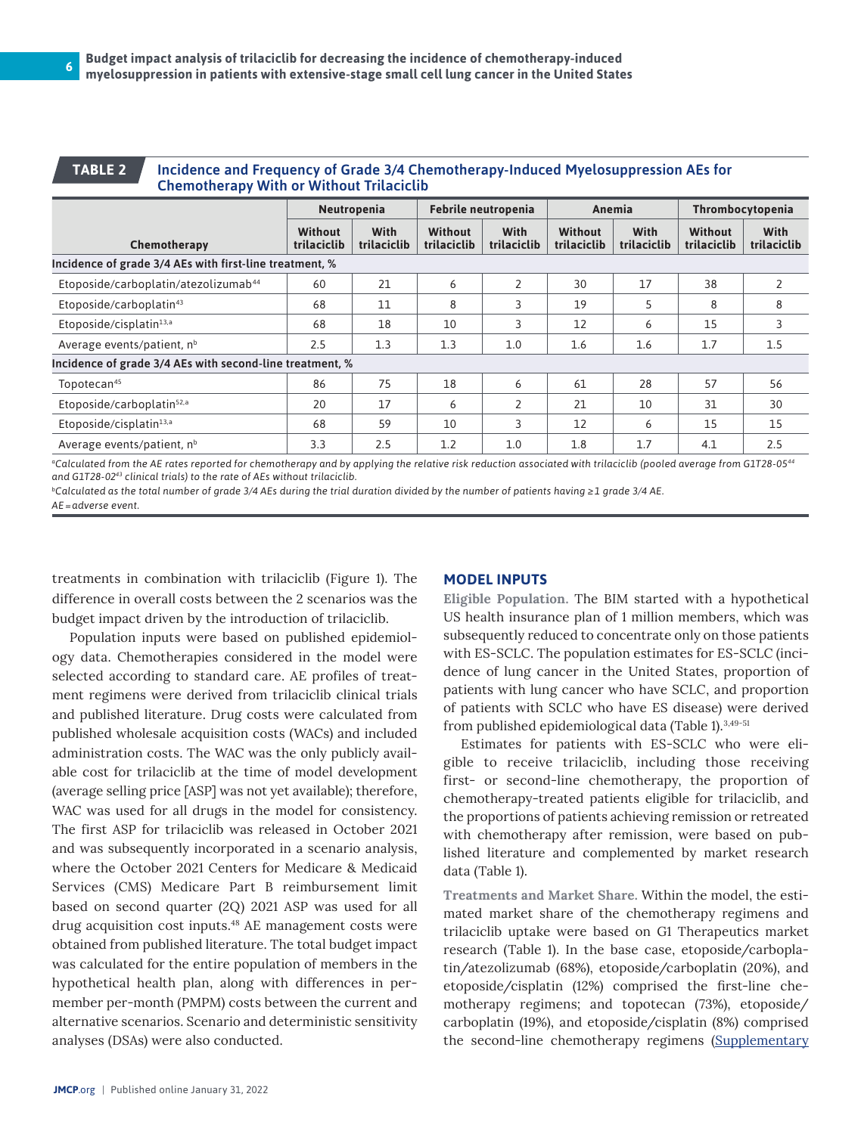#### **TABLE 2**

#### Incidence and Frequency of Grade 3/4 Chemotherapy-Induced Myelosuppression AEs for Chemotherapy With or Without Trilaciclib

|                                                          | Neutropenia            |                     | Febrile neutropenia           |                     | Anemia                        |                            | Thrombocytopenia              |                     |
|----------------------------------------------------------|------------------------|---------------------|-------------------------------|---------------------|-------------------------------|----------------------------|-------------------------------|---------------------|
| Chemotherapy                                             | Without<br>trilaciclib | With<br>trilaciclib | <b>Without</b><br>trilaciclib | With<br>trilaciclib | <b>Without</b><br>trilaciclib | <b>With</b><br>trilaciclib | <b>Without</b><br>trilaciclib | With<br>trilaciclib |
| Incidence of grade 3/4 AEs with first-line treatment, %  |                        |                     |                               |                     |                               |                            |                               |                     |
| Etoposide/carboplatin/atezolizumab <sup>44</sup>         | 60                     | 21                  | 6                             | 2                   | 30                            | 17                         | 38                            | 2                   |
| Etoposide/carboplatin <sup>43</sup>                      | 68                     | 11                  | 8                             | 3                   | 19                            | 5                          | 8                             | 8                   |
| Etoposide/cisplatin <sup>13,a</sup>                      | 68                     | 18                  | 10                            | 3                   | 12                            | 6                          | 15                            | 3                   |
| Average events/patient, n <sup>b</sup>                   | 2.5                    | 1.3                 | 1.3                           | 1.0                 | 1.6                           | 1.6                        | 1.7                           | 1.5                 |
| Incidence of grade 3/4 AEs with second-line treatment, % |                        |                     |                               |                     |                               |                            |                               |                     |
| Topotecan <sup>45</sup>                                  | 86                     | 75                  | 18                            | 6                   | 61                            | 28                         | 57                            | 56                  |
| Etoposide/carboplatin <sup>52,a</sup>                    | 20                     | 17                  | 6                             | 2                   | 21                            | 10                         | 31                            | 30                  |
| Etoposide/cisplatin <sup>13,a</sup>                      | 68                     | 59                  | 10                            | 3                   | 12                            | 6                          | 15                            | 15                  |
| Average events/patient, $nb$                             | 3.3                    | 2.5                 | 1.2                           | 1.0                 | 1.8                           | 1.7                        | 4.1                           | 2.5                 |

*aCalculated from the AE rates reported for chemotherapy and by applying the relative risk reduction associated with trilaciclib (pooled average from G1T28-0544 and G1T28-0243 clinical trials) to the rate of AEs without trilaciclib.*

*bCalculated as the total number of grade 3/4 AEs during the trial duration divided by the number of patients having ≥1 grade 3/4 AE. AE=adverse event.*

treatments in combination with trilaciclib (Figure 1). The difference in overall costs between the 2 scenarios was the budget impact driven by the introduction of trilaciclib.

Population inputs were based on published epidemiology data. Chemotherapies considered in the model were selected according to standard care. AE profiles of treatment regimens were derived from trilaciclib clinical trials and published literature. Drug costs were calculated from published wholesale acquisition costs (WACs) and included administration costs. The WAC was the only publicly available cost for trilaciclib at the time of model development (average selling price [ASP] was not yet available); therefore, WAC was used for all drugs in the model for consistency. The first ASP for trilaciclib was released in October 2021 and was subsequently incorporated in a scenario analysis, where the October 2021 Centers for Medicare & Medicaid Services (CMS) Medicare Part B reimbursement limit based on second quarter (2Q) 2021 ASP was used for all drug acquisition cost inputs.48 AE management costs were obtained from published literature. The total budget impact was calculated for the entire population of members in the hypothetical health plan, along with differences in permember per-month (PMPM) costs between the current and alternative scenarios. Scenario and deterministic sensitivity analyses (DSAs) were also conducted.

#### **MODEL INPUTS**

Eligible Population. The BIM started with a hypothetical US health insurance plan of 1 million members, which was subsequently reduced to concentrate only on those patients with ES-SCLC. The population estimates for ES-SCLC (incidence of lung cancer in the United States, proportion of patients with lung cancer who have SCLC, and proportion of patients with SCLC who have ES disease) were derived from published epidemiological data (Table 1).3,49-51

Estimates for patients with ES-SCLC who were eligible to receive trilaciclib, including those receiving first- or second-line chemotherapy, the proportion of chemotherapy-treated patients eligible for trilaciclib, and the proportions of patients achieving remission or retreated with chemotherapy after remission, were based on published literature and complemented by market research data (Table 1).

Treatments and Market Share. Within the model, the estimated market share of the chemotherapy regimens and trilaciclib uptake were based on G1 Therapeutics market research (Table 1). In the base case, etoposide/carboplatin/atezolizumab (68%), etoposide/carboplatin (20%), and etoposide/cisplatin (12%) comprised the first-line chemotherapy regimens; and topotecan (73%), etoposide/ carboplatin (19%), and etoposide/cisplatin (8%) comprised the second-line chemotherapy regimens (Supplementary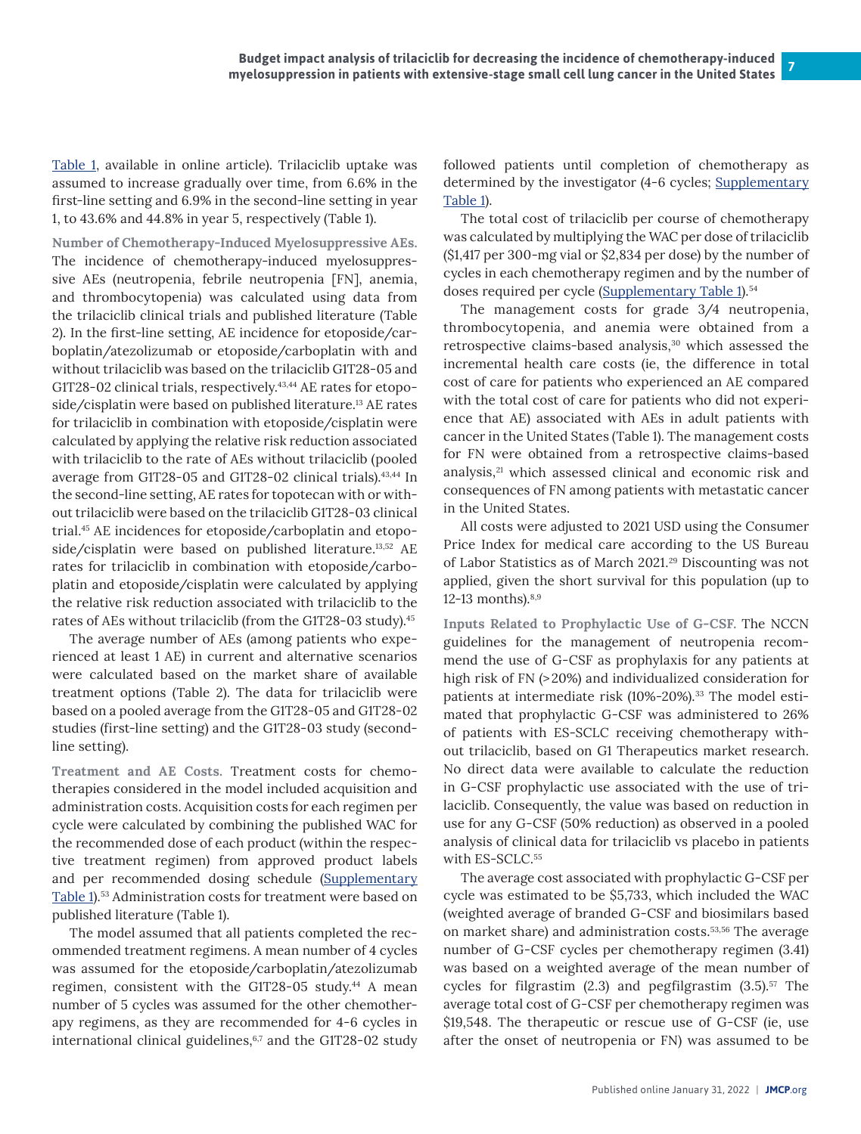[Table 1](https://www.jmcp.org/pb-assets/Supplmental%20Material/SupplementaryMaterials21379-1642449091.pdf), available in online article). Trilaciclib uptake was assumed to increase gradually over time, from 6.6% in the first-line setting and 6.9% in the second-line setting in year 1, to 43.6% and 44.8% in year 5, respectively (Table 1).

Number of Chemotherapy-Induced Myelosuppressive AEs. The incidence of chemotherapy-induced myelosuppressive AEs (neutropenia, febrile neutropenia [FN], anemia, and thrombocytopenia) was calculated using data from the trilaciclib clinical trials and published literature (Table 2). In the first-line setting, AE incidence for etoposide/carboplatin/atezolizumab or etoposide/carboplatin with and without trilaciclib was based on the trilaciclib G1T28-05 and G1T28-02 clinical trials, respectively.<sup>43,44</sup> AE rates for etoposide/cisplatin were based on published literature.13 AE rates for trilaciclib in combination with etoposide/cisplatin were calculated by applying the relative risk reduction associated with trilaciclib to the rate of AEs without trilaciclib (pooled average from G1T28-05 and G1T28-02 clinical trials).43,44 In the second-line setting, AE rates for topotecan with or without trilaciclib were based on the trilaciclib G1T28-03 clinical trial.45 AE incidences for etoposide/carboplatin and etoposide/cisplatin were based on published literature.13,52 AE rates for trilaciclib in combination with etoposide/carboplatin and etoposide/cisplatin were calculated by applying the relative risk reduction associated with trilaciclib to the rates of AEs without trilaciclib (from the G1T28-03 study).45

The average number of AEs (among patients who experienced at least 1 AE) in current and alternative scenarios were calculated based on the market share of available treatment options (Table 2). The data for trilaciclib were based on a pooled average from the G1T28-05 and G1T28-02 studies (first-line setting) and the G1T28-03 study (secondline setting).

Treatment and AE Costs. Treatment costs for chemotherapies considered in the model included acquisition and administration costs. Acquisition costs for each regimen per cycle were calculated by combining the published WAC for the recommended dose of each product (within the respective treatment regimen) from approved product labels and per recommended dosing schedule [\(Supplementary](https://www.jmcp.org/pb-assets/Supplmental%20Material/SupplementaryMaterials21379-1642449091.pdf) [Table 1](https://www.jmcp.org/pb-assets/Supplmental%20Material/SupplementaryMaterials21379-1642449091.pdf)).<sup>53</sup> Administration costs for treatment were based on published literature (Table 1).

The model assumed that all patients completed the recommended treatment regimens. A mean number of 4 cycles was assumed for the etoposide/carboplatin/atezolizumab regimen, consistent with the G1T28-05 study.44 A mean number of 5 cycles was assumed for the other chemotherapy regimens, as they are recommended for 4-6 cycles in international clinical guidelines, $6,7$  and the G1T28-02 study

followed patients until completion of chemotherapy as determined by the investigator (4-6 cycles; [Supplementary](https://www.jmcp.org/pb-assets/Supplmental%20Material/SupplementaryMaterials21379-1642449091.pdf) [Table 1\)](https://www.jmcp.org/pb-assets/Supplmental%20Material/SupplementaryMaterials21379-1642449091.pdf).

The total cost of trilaciclib per course of chemotherapy was calculated by multiplying the WAC per dose of trilaciclib (\$1,417 per 300-mg vial or \$2,834 per dose) by the number of cycles in each chemotherapy regimen and by the number of doses required per cycle ([Supplementary Table 1\)](https://www.jmcp.org/pb-assets/Supplmental%20Material/SupplementaryMaterials21379-1642449091.pdf).<sup>54</sup>

The management costs for grade 3/4 neutropenia, thrombocytopenia, and anemia were obtained from a retrospective claims-based analysis,<sup>30</sup> which assessed the incremental health care costs (ie, the difference in total cost of care for patients who experienced an AE compared with the total cost of care for patients who did not experience that AE) associated with AEs in adult patients with cancer in the United States (Table 1). The management costs for FN were obtained from a retrospective claims-based analysis,<sup>21</sup> which assessed clinical and economic risk and consequences of FN among patients with metastatic cancer in the United States.

All costs were adjusted to 2021 USD using the Consumer Price Index for medical care according to the US Bureau of Labor Statistics as of March 2021.29 Discounting was not applied, given the short survival for this population (up to 12-13 months). $8,9$ 

Inputs Related to Prophylactic Use of G-CSF. The NCCN guidelines for the management of neutropenia recommend the use of G-CSF as prophylaxis for any patients at high risk of FN (>20%) and individualized consideration for patients at intermediate risk (10%-20%).<sup>33</sup> The model estimated that prophylactic G-CSF was administered to 26% of patients with ES-SCLC receiving chemotherapy without trilaciclib, based on G1 Therapeutics market research. No direct data were available to calculate the reduction in G-CSF prophylactic use associated with the use of trilaciclib. Consequently, the value was based on reduction in use for any G-CSF (50% reduction) as observed in a pooled analysis of clinical data for trilaciclib vs placebo in patients with ES-SCLC.55

The average cost associated with prophylactic G-CSF per cycle was estimated to be \$5,733, which included the WAC (weighted average of branded G-CSF and biosimilars based on market share) and administration costs.53,56 The average number of G-CSF cycles per chemotherapy regimen (3.41) was based on a weighted average of the mean number of cycles for filgrastim  $(2.3)$  and pegfilgrastim  $(3.5)$ .<sup>57</sup> The average total cost of G-CSF per chemotherapy regimen was \$19,548. The therapeutic or rescue use of G-CSF (ie, use after the onset of neutropenia or FN) was assumed to be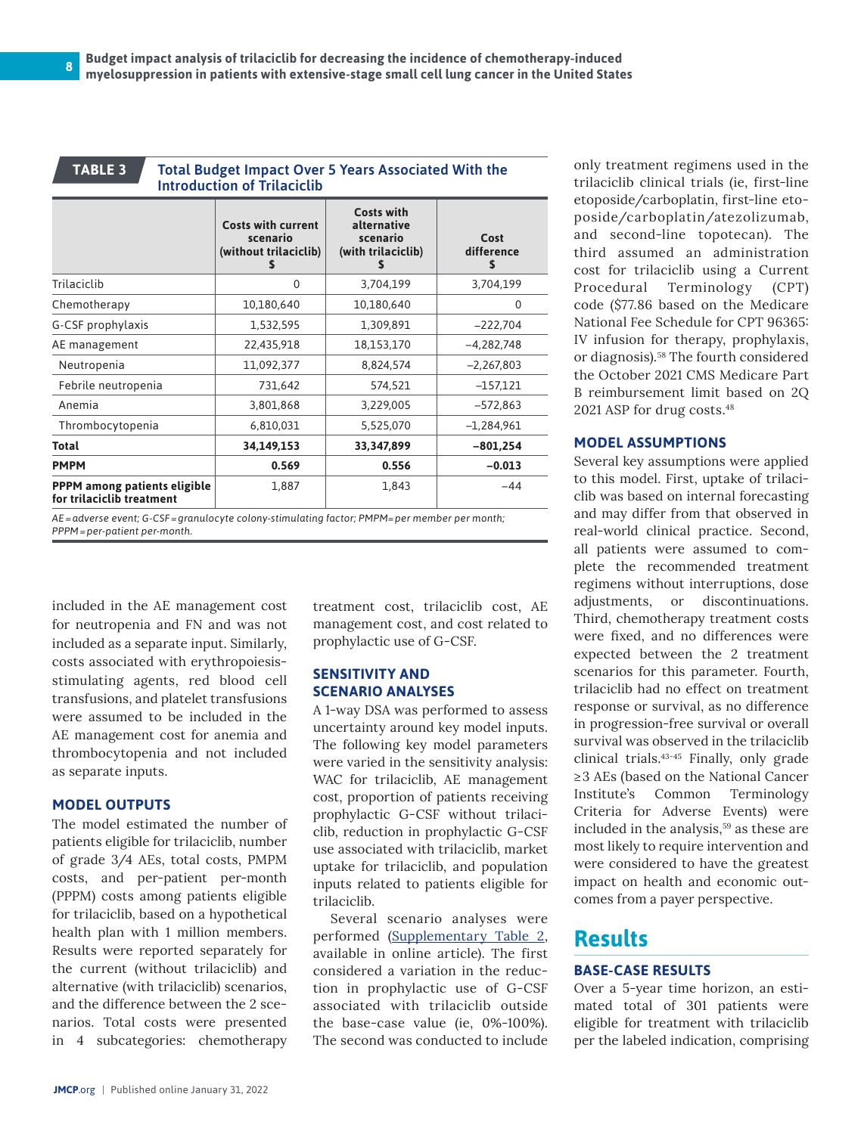#### **TABLE 3**

Total Budget Impact Over 5 Years Associated With the Introduction of Trilaciclib

|                                                                  | <b>Costs with current</b><br>scenario<br>(without trilaciclib) | <b>Costs with</b><br>alternative<br>scenario<br>(with trilaciclib)<br>s | Cost<br>difference<br>S |
|------------------------------------------------------------------|----------------------------------------------------------------|-------------------------------------------------------------------------|-------------------------|
| Trilaciclib                                                      | $\Omega$                                                       | 3,704,199                                                               | 3,704,199               |
| Chemotherapy                                                     | 10,180,640                                                     | 10,180,640                                                              | $\Omega$                |
| G-CSF prophylaxis                                                | 1,532,595                                                      | 1,309,891                                                               | $-222,704$              |
| AE management                                                    | 22,435,918                                                     | 18,153,170                                                              | $-4.282.748$            |
| Neutropenia                                                      | 11,092,377                                                     | 8,824,574                                                               | $-2,267,803$            |
| Febrile neutropenia                                              | 731,642                                                        | 574,521                                                                 | $-157,121$              |
| Anemia                                                           | 3,801,868                                                      | 3,229,005                                                               | $-572,863$              |
| Thrombocytopenia                                                 | 6,810,031                                                      | 5,525,070                                                               | $-1,284,961$            |
| Total                                                            | 34,149,153                                                     | 33,347,899                                                              | $-801,254$              |
| <b>PMPM</b>                                                      | 0.569                                                          | 0.556                                                                   | $-0.013$                |
| <b>PPPM</b> among patients eligible<br>for trilaciclib treatment | 1,887                                                          | 1,843                                                                   | $-44$                   |

*AE=adverse event; G-CSF=granulocyte colony-stimulating factor; PMPM=per member per month; PPPM=per-patient per-month.*

included in the AE management cost for neutropenia and FN and was not included as a separate input. Similarly, costs associated with erythropoiesisstimulating agents, red blood cell transfusions, and platelet transfusions were assumed to be included in the AE management cost for anemia and thrombocytopenia and not included as separate inputs.

#### **MODEL OUTPUTS**

The model estimated the number of patients eligible for trilaciclib, number of grade 3/4 AEs, total costs, PMPM costs, and per-patient per-month (PPPM) costs among patients eligible for trilaciclib, based on a hypothetical health plan with 1 million members. Results were reported separately for the current (without trilaciclib) and alternative (with trilaciclib) scenarios, and the difference between the 2 scenarios. Total costs were presented in 4 subcategories: chemotherapy treatment cost, trilaciclib cost, AE management cost, and cost related to prophylactic use of G-CSF.

#### **SENSITIVITY AND SCENARIO ANALYSES**

A 1-way DSA was performed to assess uncertainty around key model inputs. The following key model parameters were varied in the sensitivity analysis: WAC for trilaciclib, AE management cost, proportion of patients receiving prophylactic G-CSF without trilaciclib, reduction in prophylactic G-CSF use associated with trilaciclib, market uptake for trilaciclib, and population inputs related to patients eligible for trilaciclib.

Several scenario analyses were performed [\(Supplementary Table 2,](https://www.jmcp.org/pb-assets/Supplmental%20Material/SupplementaryMaterials21379-1642449091.pdf) available in online article). The first considered a variation in the reduction in prophylactic use of G-CSF associated with trilaciclib outside the base-case value (ie, 0%-100%). The second was conducted to include

only treatment regimens used in the trilaciclib clinical trials (ie, first-line etoposide/carboplatin, first-line etoposide/carboplatin/atezolizumab, and second-line topotecan). The third assumed an administration cost for trilaciclib using a Current Procedural Terminology (CPT) code (\$77.86 based on the Medicare National Fee Schedule for CPT 96365: IV infusion for therapy, prophylaxis, or diagnosis).58 The fourth considered the October 2021 CMS Medicare Part B reimbursement limit based on 2Q 2021 ASP for drug costs.48

#### **MODEL ASSUMPTIONS**

Several key assumptions were applied to this model. First, uptake of trilaciclib was based on internal forecasting and may differ from that observed in real-world clinical practice. Second, all patients were assumed to complete the recommended treatment regimens without interruptions, dose adjustments, or discontinuations. Third, chemotherapy treatment costs were fixed, and no differences were expected between the 2 treatment scenarios for this parameter. Fourth, trilaciclib had no effect on treatment response or survival, as no difference in progression-free survival or overall survival was observed in the trilaciclib clinical trials.43-45 Finally, only grade ≥3 AEs (based on the National Cancer Institute's Common Terminology Criteria for Adverse Events) were included in the analysis,<sup>59</sup> as these are most likely to require intervention and were considered to have the greatest impact on health and economic outcomes from a payer perspective.

# **Results**

#### **BASE-CASE RESULTS**

Over a 5-year time horizon, an estimated total of 301 patients were eligible for treatment with trilaciclib per the labeled indication, comprising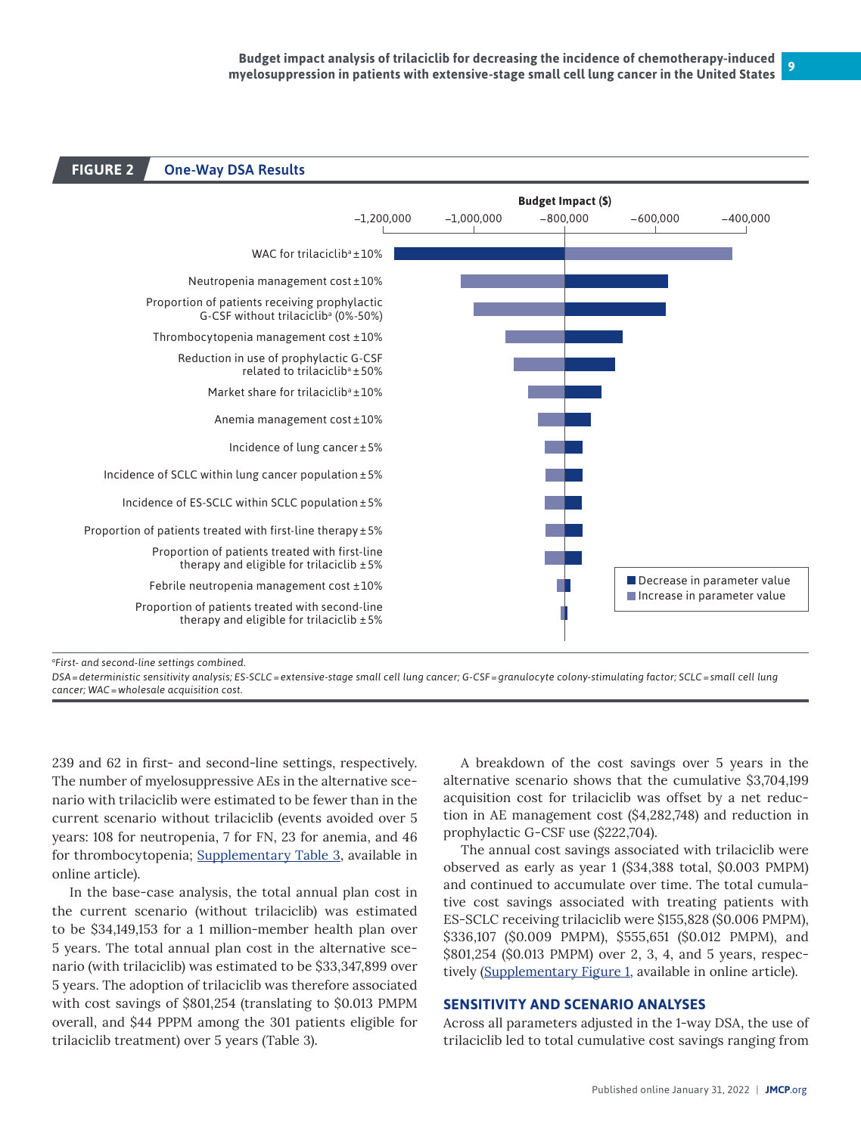

*aFirst- and second-line settings combined.*

*DSA=deterministic sensitivity analysis; ES-SCLC=extensive-stage small cell lung cancer; G-CSF=granulocyte colony-stimulating factor; SCLC=small cell lung cancer; WAC=wholesale acquisition cost.*

239 and 62 in first- and second-line settings, respectively. The number of myelosuppressive AEs in the alternative scenario with trilaciclib were estimated to be fewer than in the current scenario without trilaciclib (events avoided over 5 years: 108 for neutropenia, 7 for FN, 23 for anemia, and 46 for thrombocytopenia; [Supplementary Table 3,](https://www.jmcp.org/pb-assets/Supplmental%20Material/SupplementaryMaterials21379-1642449091.pdf) available in online article).

In the base-case analysis, the total annual plan cost in the current scenario (without trilaciclib) was estimated to be \$34,149,153 for a 1 million-member health plan over 5 years. The total annual plan cost in the alternative scenario (with trilaciclib) was estimated to be \$33,347,899 over 5 years. The adoption of trilaciclib was therefore associated with cost savings of \$801,254 (translating to \$0.013 PMPM overall, and \$44 PPPM among the 301 patients eligible for trilaciclib treatment) over 5 years (Table 3).

A breakdown of the cost savings over 5 years in the alternative scenario shows that the cumulative \$3,704,199 acquisition cost for trilaciclib was offset by a net reduction in AE management cost (\$4,282,748) and reduction in prophylactic G-CSF use (\$222,704).

The annual cost savings associated with trilaciclib were observed as early as year 1 (\$34,388 total, \$0.003 PMPM) and continued to accumulate over time. The total cumulative cost savings associated with treating patients with ES-SCLC receiving trilaciclib were \$155,828 (\$0.006 PMPM), \$336,107 (\$0.009 PMPM), \$555,651 (\$0.012 PMPM), and \$801,254 (\$0.013 PMPM) over 2, 3, 4, and 5 years, respec-tively [\(Supplementary Figure 1,](https://www.jmcp.org/pb-assets/Supplmental%20Material/SupplementaryMaterials21379-1642449091.pdf) available in online article).

#### **SENSITIVITY AND SCENARIO ANALYSES**

Across all parameters adjusted in the 1-way DSA, the use of trilaciclib led to total cumulative cost savings ranging from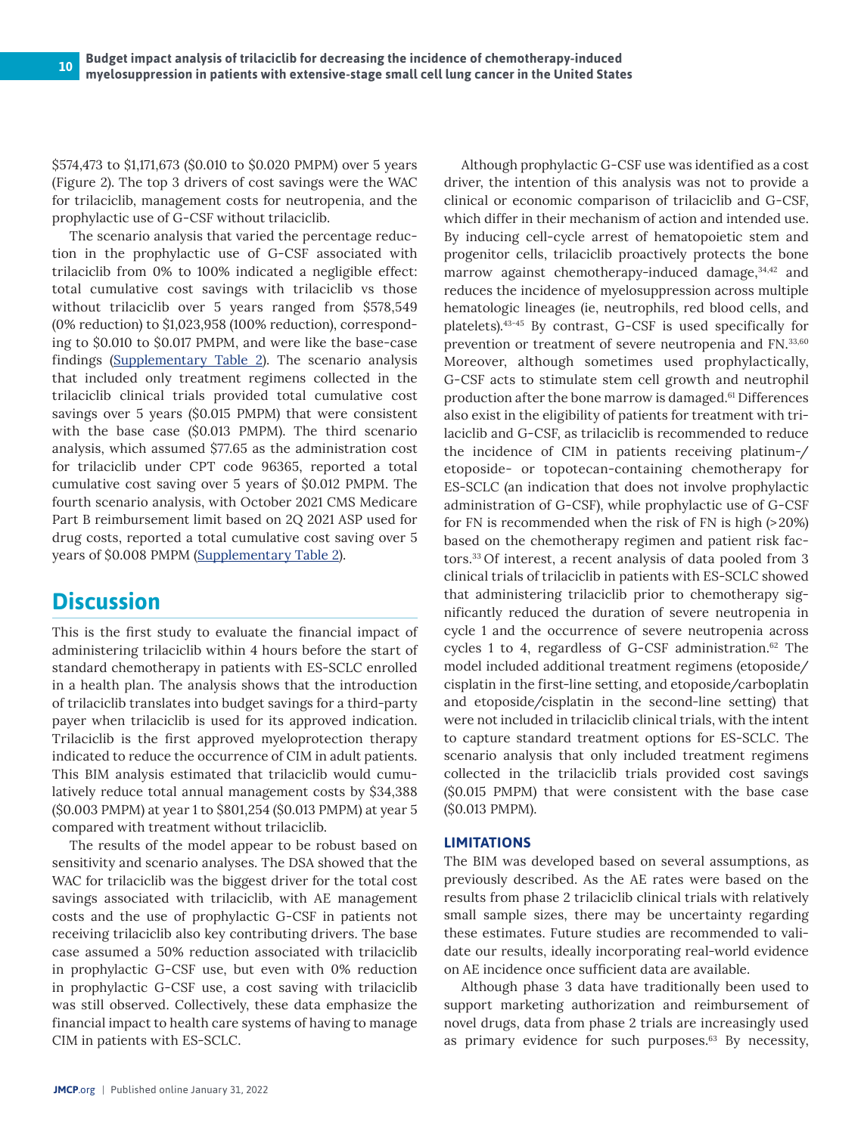\$574,473 to \$1,171,673 (\$0.010 to \$0.020 PMPM) over 5 years (Figure 2). The top 3 drivers of cost savings were the WAC for trilaciclib, management costs for neutropenia, and the prophylactic use of G-CSF without trilaciclib.

The scenario analysis that varied the percentage reduction in the prophylactic use of G-CSF associated with trilaciclib from 0% to 100% indicated a negligible effect: total cumulative cost savings with trilaciclib vs those without trilaciclib over 5 years ranged from \$578,549 (0% reduction) to \$1,023,958 (100% reduction), corresponding to \$0.010 to \$0.017 PMPM, and were like the base-case findings [\(Supplementary Table 2](https://www.jmcp.org/pb-assets/Supplmental%20Material/SupplementaryMaterials21379-1642449091.pdf)). The scenario analysis that included only treatment regimens collected in the trilaciclib clinical trials provided total cumulative cost savings over 5 years (\$0.015 PMPM) that were consistent with the base case (\$0.013 PMPM). The third scenario analysis, which assumed \$77.65 as the administration cost for trilaciclib under CPT code 96365, reported a total cumulative cost saving over 5 years of \$0.012 PMPM. The fourth scenario analysis, with October 2021 CMS Medicare Part B reimbursement limit based on 2Q 2021 ASP used for drug costs, reported a total cumulative cost saving over 5 years of \$0.008 PMPM [\(Supplementary Table 2\)](https://www.jmcp.org/pb-assets/Supplmental%20Material/SupplementaryMaterials21379-1642449091.pdf).

# **Discussion**

This is the first study to evaluate the financial impact of administering trilaciclib within 4 hours before the start of standard chemotherapy in patients with ES-SCLC enrolled in a health plan. The analysis shows that the introduction of trilaciclib translates into budget savings for a third-party payer when trilaciclib is used for its approved indication. Trilaciclib is the first approved myeloprotection therapy indicated to reduce the occurrence of CIM in adult patients. This BIM analysis estimated that trilaciclib would cumulatively reduce total annual management costs by \$34,388 (\$0.003 PMPM) at year 1 to \$801,254 (\$0.013 PMPM) at year 5 compared with treatment without trilaciclib.

The results of the model appear to be robust based on sensitivity and scenario analyses. The DSA showed that the WAC for trilaciclib was the biggest driver for the total cost savings associated with trilaciclib, with AE management costs and the use of prophylactic G-CSF in patients not receiving trilaciclib also key contributing drivers. The base case assumed a 50% reduction associated with trilaciclib in prophylactic G-CSF use, but even with 0% reduction in prophylactic G-CSF use, a cost saving with trilaciclib was still observed. Collectively, these data emphasize the financial impact to health care systems of having to manage CIM in patients with ES-SCLC.

Although prophylactic G-CSF use was identified as a cost driver, the intention of this analysis was not to provide a clinical or economic comparison of trilaciclib and G-CSF, which differ in their mechanism of action and intended use. By inducing cell-cycle arrest of hematopoietic stem and progenitor cells, trilaciclib proactively protects the bone marrow against chemotherapy-induced damage, 34,42 and reduces the incidence of myelosuppression across multiple hematologic lineages (ie, neutrophils, red blood cells, and platelets).43-45 By contrast, G-CSF is used specifically for prevention or treatment of severe neutropenia and FN.33,60 Moreover, although sometimes used prophylactically, G-CSF acts to stimulate stem cell growth and neutrophil production after the bone marrow is damaged.61 Differences also exist in the eligibility of patients for treatment with trilaciclib and G-CSF, as trilaciclib is recommended to reduce the incidence of CIM in patients receiving platinum-/ etoposide- or topotecan-containing chemotherapy for ES-SCLC (an indication that does not involve prophylactic administration of G-CSF), while prophylactic use of G-CSF for FN is recommended when the risk of FN is high (>20%) based on the chemotherapy regimen and patient risk factors.33 Of interest, a recent analysis of data pooled from 3 clinical trials of trilaciclib in patients with ES-SCLC showed that administering trilaciclib prior to chemotherapy significantly reduced the duration of severe neutropenia in cycle 1 and the occurrence of severe neutropenia across cycles 1 to 4, regardless of G-CSF administration.<sup>62</sup> The model included additional treatment regimens (etoposide/ cisplatin in the first-line setting, and etoposide/carboplatin and etoposide/cisplatin in the second-line setting) that were not included in trilaciclib clinical trials, with the intent to capture standard treatment options for ES-SCLC. The scenario analysis that only included treatment regimens collected in the trilaciclib trials provided cost savings (\$0.015 PMPM) that were consistent with the base case (\$0.013 PMPM).

#### **LIMITATIONS**

The BIM was developed based on several assumptions, as previously described. As the AE rates were based on the results from phase 2 trilaciclib clinical trials with relatively small sample sizes, there may be uncertainty regarding these estimates. Future studies are recommended to validate our results, ideally incorporating real-world evidence on AE incidence once sufficient data are available.

Although phase 3 data have traditionally been used to support marketing authorization and reimbursement of novel drugs, data from phase 2 trials are increasingly used as primary evidence for such purposes.<sup>63</sup> By necessity,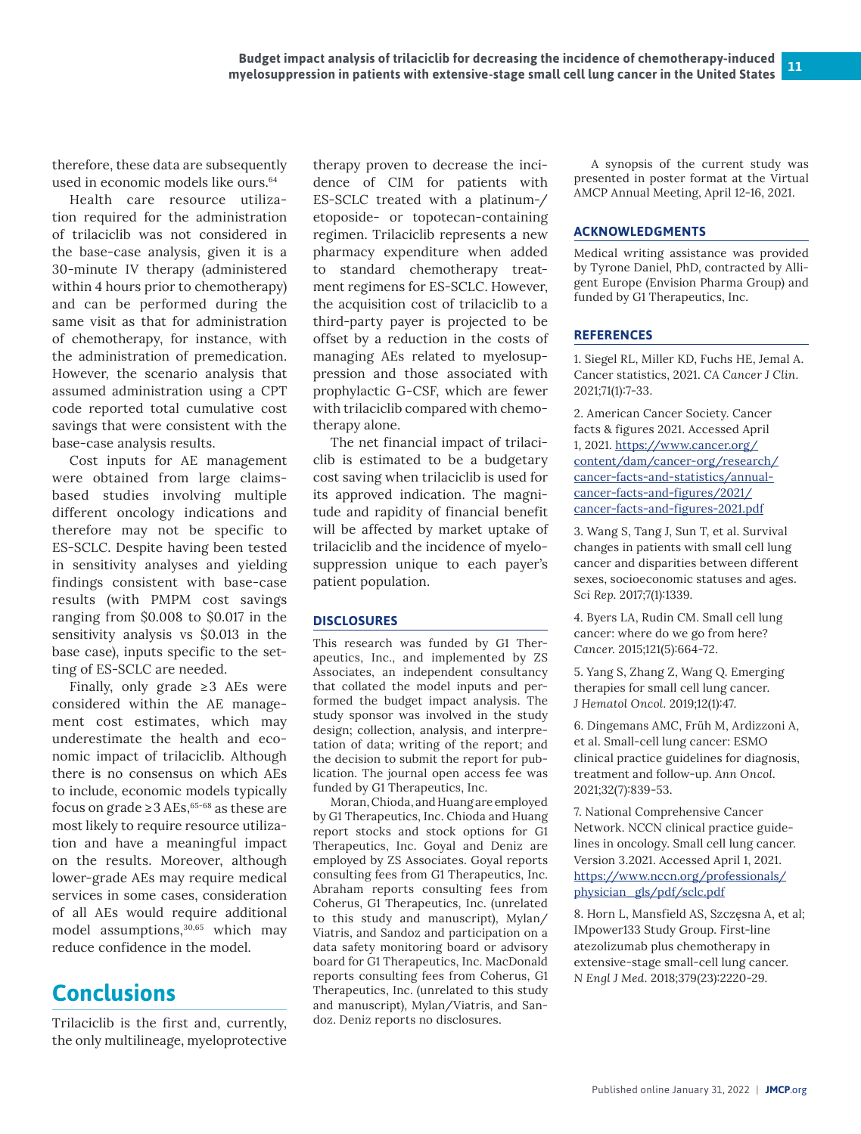therefore, these data are subsequently used in economic models like ours.<sup>64</sup>

Health care resource utilization required for the administration of trilaciclib was not considered in the base-case analysis, given it is a 30-minute IV therapy (administered within 4 hours prior to chemotherapy) and can be performed during the same visit as that for administration of chemotherapy, for instance, with the administration of premedication. However, the scenario analysis that assumed administration using a CPT code reported total cumulative cost savings that were consistent with the base-case analysis results.

Cost inputs for AE management were obtained from large claimsbased studies involving multiple different oncology indications and therefore may not be specific to ES-SCLC. Despite having been tested in sensitivity analyses and yielding findings consistent with base-case results (with PMPM cost savings ranging from \$0.008 to \$0.017 in the sensitivity analysis vs \$0.013 in the base case), inputs specific to the setting of ES-SCLC are needed.

Finally, only grade  $\geq 3$  AEs were considered within the AE management cost estimates, which may underestimate the health and economic impact of trilaciclib. Although there is no consensus on which AEs to include, economic models typically focus on grade  $\geq 3$  AEs,<sup>65-68</sup> as these are most likely to require resource utilization and have a meaningful impact on the results. Moreover, although lower-grade AEs may require medical services in some cases, consideration of all AEs would require additional model assumptions,<sup>30,65</sup> which may reduce confidence in the model.

# **Conclusions**

Trilaciclib is the first and, currently, the only multilineage, myeloprotective

therapy proven to decrease the incidence of CIM for patients with ES-SCLC treated with a platinum-/ etoposide- or topotecan-containing regimen. Trilaciclib represents a new pharmacy expenditure when added to standard chemotherapy treatment regimens for ES-SCLC. However, the acquisition cost of trilaciclib to a third-party payer is projected to be offset by a reduction in the costs of managing AEs related to myelosuppression and those associated with prophylactic G-CSF, which are fewer with trilaciclib compared with chemotherapy alone.

The net financial impact of trilaciclib is estimated to be a budgetary cost saving when trilaciclib is used for its approved indication. The magnitude and rapidity of financial benefit will be affected by market uptake of trilaciclib and the incidence of myelosuppression unique to each payer's patient population.

#### **DISCLOSURES**

This research was funded by G1 Therapeutics, Inc., and implemented by ZS Associates, an independent consultancy that collated the model inputs and performed the budget impact analysis. The study sponsor was involved in the study design; collection, analysis, and interpretation of data; writing of the report; and the decision to submit the report for publication. The journal open access fee was funded by G1 Therapeutics, Inc.

Moran, Chioda, and Huang are employed by G1 Therapeutics, Inc. Chioda and Huang report stocks and stock options for G1 Therapeutics, Inc. Goyal and Deniz are employed by ZS Associates. Goyal reports consulting fees from G1 Therapeutics, Inc. Abraham reports consulting fees from Coherus, G1 Therapeutics, Inc. (unrelated to this study and manuscript), Mylan/ Viatris, and Sandoz and participation on a data safety monitoring board or advisory board for G1 Therapeutics, Inc. MacDonald reports consulting fees from Coherus, G1 Therapeutics, Inc. (unrelated to this study and manuscript), Mylan/Viatris, and Sandoz. Deniz reports no disclosures.

A synopsis of the current study was presented in poster format at the Virtual AMCP Annual Meeting, April 12-16, 2021.

#### **ACKNOWLEDGMENTS**

Medical writing assistance was provided by Tyrone Daniel, PhD, contracted by Alligent Europe (Envision Pharma Group) and funded by G1 Therapeutics, Inc.

#### **REFERENCES**

1. Siegel RL, Miller KD, Fuchs HE, Jemal A. Cancer statistics, 2021. *CA Cancer J Clin.*  2021;71(1):7-33.

2. American Cancer Society. Cancer facts & figures 2021. Accessed April 1, 2021. [https://www.cancer.org/](https://www.cancer.org/content/dam/cancer-org/research/cancer-facts-and-statistics/annual-cancer-facts-and-figures/2021/cancer-facts-and-figures-2021.pdf) [content/dam/cancer-org/research/](https://www.cancer.org/content/dam/cancer-org/research/cancer-facts-and-statistics/annual-cancer-facts-and-figures/2021/cancer-facts-and-figures-2021.pdf) [cancer-facts-and-statistics/annual](https://www.cancer.org/content/dam/cancer-org/research/cancer-facts-and-statistics/annual-cancer-facts-and-figures/2021/cancer-facts-and-figures-2021.pdf)[cancer-facts-and-figures/2021/](https://www.cancer.org/content/dam/cancer-org/research/cancer-facts-and-statistics/annual-cancer-facts-and-figures/2021/cancer-facts-and-figures-2021.pdf) [cancer-facts-and-figures-2021.pdf](https://www.cancer.org/content/dam/cancer-org/research/cancer-facts-and-statistics/annual-cancer-facts-and-figures/2021/cancer-facts-and-figures-2021.pdf)

3. Wang S, Tang J, Sun T, et al. Survival changes in patients with small cell lung cancer and disparities between different sexes, socioeconomic statuses and ages. *Sci Rep*. 2017;7(1):1339.

4. Byers LA, Rudin CM. Small cell lung cancer: where do we go from here? *Cancer*. 2015;121(5):664-72.

5. Yang S, Zhang Z, Wang Q. Emerging therapies for small cell lung cancer. *J Hematol Oncol.* 2019;12(1):47.

6. Dingemans AMC, Früh M, Ardizzoni A, et al. Small-cell lung cancer: ESMO clinical practice guidelines for diagnosis, treatment and follow-up. *Ann Oncol.* 2021;32(7):839-53.

7. National Comprehensive Cancer Network. NCCN clinical practice guidelines in oncology. Small cell lung cancer. Version 3.2021. Accessed April 1, 2021. [https://www.nccn.org/professionals/](https://www.nccn.org/professionals/physician_gls/pdf/sclc.pdf) [physician\\_gls/pdf/sclc.pdf](https://www.nccn.org/professionals/physician_gls/pdf/sclc.pdf)

8. Horn L, Mansfield AS, Szczęsna A, et al; IMpower133 Study Group. First-line atezolizumab plus chemotherapy in extensive-stage small-cell lung cancer. *N Engl J Med.* 2018;379(23):2220-29.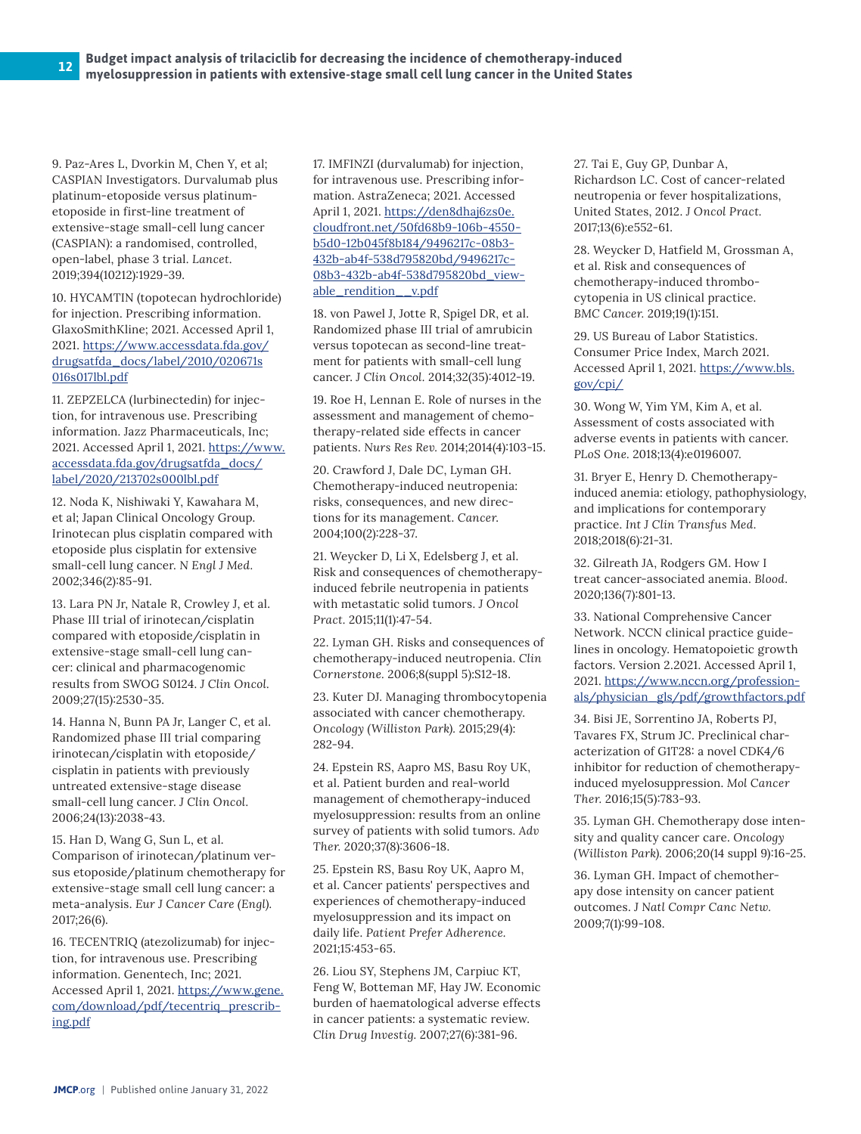9. Paz-Ares L, Dvorkin M, Chen Y, et al; CASPIAN Investigators. Durvalumab plus platinum-etoposide versus platinumetoposide in first-line treatment of extensive-stage small-cell lung cancer (CASPIAN): a randomised, controlled, open-label, phase 3 trial. *Lancet*. 2019;394(10212):1929-39.

10. HYCAMTIN (topotecan hydrochloride) for injection. Prescribing information. GlaxoSmithKline; 2021. Accessed April 1, 2021. [https://www.accessdata.fda.gov/](https://www.accessdata.fda.gov/drugsatfda_docs/label/2010/020671s016s017lbl.pdf) [drugsatfda\\_docs/label/2010/020671s](https://www.accessdata.fda.gov/drugsatfda_docs/label/2010/020671s016s017lbl.pdf) [016s017lbl.pdf](https://www.accessdata.fda.gov/drugsatfda_docs/label/2010/020671s016s017lbl.pdf)

11. ZEPZELCA (lurbinectedin) for injection, for intravenous use. Prescribing information. Jazz Pharmaceuticals, Inc; 2021. Accessed April 1, 2021. [https://www.](https://www.accessdata.fda.gov/drugsatfda_docs/label/2020/213702s000lbl.pdf) [accessdata.fda.gov/drugsatfda\\_docs/](https://www.accessdata.fda.gov/drugsatfda_docs/label/2020/213702s000lbl.pdf) [label/2020/213702s000lbl.pdf](https://www.accessdata.fda.gov/drugsatfda_docs/label/2020/213702s000lbl.pdf)

12. Noda K, Nishiwaki Y, Kawahara M, et al; Japan Clinical Oncology Group. Irinotecan plus cisplatin compared with etoposide plus cisplatin for extensive small-cell lung cancer. *N Engl J Med.*  2002;346(2):85-91.

13. Lara PN Jr, Natale R, Crowley J, et al. Phase III trial of irinotecan/cisplatin compared with etoposide/cisplatin in extensive-stage small-cell lung cancer: clinical and pharmacogenomic results from SWOG S0124. *J Clin Oncol.*  2009;27(15):2530-35.

14. Hanna N, Bunn PA Jr, Langer C, et al. Randomized phase III trial comparing irinotecan/cisplatin with etoposide/ cisplatin in patients with previously untreated extensive-stage disease small-cell lung cancer. *J Clin Oncol.* 2006;24(13):2038-43.

15. Han D, Wang G, Sun L, et al. Comparison of irinotecan/platinum versus etoposide/platinum chemotherapy for extensive-stage small cell lung cancer: a meta-analysis. *Eur J Cancer Care (Engl).*  2017;26(6).

16. TECENTRIQ (atezolizumab) for injection, for intravenous use. Prescribing information. Genentech, Inc; 2021. Accessed April 1, 2021. [https://www.gene.](https://www.gene.com/download/pdf/tecentriq_prescribing.pdf) [com/download/pdf/tecentriq\\_prescrib](https://www.gene.com/download/pdf/tecentriq_prescribing.pdf)[ing.pdf](https://www.gene.com/download/pdf/tecentriq_prescribing.pdf)

17. IMFINZI (durvalumab) for injection, for intravenous use. Prescribing information. AstraZeneca; 2021. Accessed April 1, 2021. [https://den8dhaj6zs0e.](https://den8dhaj6zs0e.cloudfront.net/50fd68b9-106b-4550-b5d0-12b045f8b184/9496217c-08b3-432b-ab4f-538d795820bd/9496217c-08b3-432b-ab4f-538d795820bd_viewable_rendition__v.pdf) [cloudfront.net/50fd68b9-106b-4550](https://den8dhaj6zs0e.cloudfront.net/50fd68b9-106b-4550-b5d0-12b045f8b184/9496217c-08b3-432b-ab4f-538d795820bd/9496217c-08b3-432b-ab4f-538d795820bd_viewable_rendition__v.pdf) [b5d0-12b045f8b184/9496217c-08b3-](https://den8dhaj6zs0e.cloudfront.net/50fd68b9-106b-4550-b5d0-12b045f8b184/9496217c-08b3-432b-ab4f-538d795820bd/9496217c-08b3-432b-ab4f-538d795820bd_viewable_rendition__v.pdf) [432b-ab4f-538d795820bd/9496217c-](https://den8dhaj6zs0e.cloudfront.net/50fd68b9-106b-4550-b5d0-12b045f8b184/9496217c-08b3-432b-ab4f-538d795820bd/9496217c-08b3-432b-ab4f-538d795820bd_viewable_rendition__v.pdf)[08b3-432b-ab4f-538d795820bd\\_view](https://den8dhaj6zs0e.cloudfront.net/50fd68b9-106b-4550-b5d0-12b045f8b184/9496217c-08b3-432b-ab4f-538d795820bd/9496217c-08b3-432b-ab4f-538d795820bd_viewable_rendition__v.pdf)[able\\_rendition\\_\\_v.pdf](https://den8dhaj6zs0e.cloudfront.net/50fd68b9-106b-4550-b5d0-12b045f8b184/9496217c-08b3-432b-ab4f-538d795820bd/9496217c-08b3-432b-ab4f-538d795820bd_viewable_rendition__v.pdf)

18. von Pawel J, Jotte R, Spigel DR, et al. Randomized phase III trial of amrubicin versus topotecan as second-line treatment for patients with small-cell lung cancer. *J Clin Oncol.* 2014;32(35):4012-19.

19. Roe H, Lennan E. Role of nurses in the assessment and management of chemotherapy-related side effects in cancer patients. *Nurs Res Rev.* 2014;2014(4):103-15.

20. Crawford J, Dale DC, Lyman GH. Chemotherapy-induced neutropenia: risks, consequences, and new directions for its management. *Cancer*. 2004;100(2):228-37.

21. Weycker D, Li X, Edelsberg J, et al. Risk and consequences of chemotherapyinduced febrile neutropenia in patients with metastatic solid tumors. *J Oncol Pract.* 2015;11(1):47-54.

22. Lyman GH. Risks and consequences of chemotherapy-induced neutropenia. *Clin Cornerstone.* 2006;8(suppl 5):S12-18.

23. Kuter DJ. Managing thrombocytopenia associated with cancer chemotherapy. *Oncology (Williston Park).* 2015;29(4): 282-94.

24. Epstein RS, Aapro MS, Basu Roy UK, et al. Patient burden and real-world management of chemotherapy-induced myelosuppression: results from an online survey of patients with solid tumors. *Adv Ther.* 2020;37(8):3606-18.

25. Epstein RS, Basu Roy UK, Aapro M, et al. Cancer patients' perspectives and experiences of chemotherapy-induced myelosuppression and its impact on daily life. *Patient Prefer Adherence.*  2021;15:453-65.

26. Liou SY, Stephens JM, Carpiuc KT, Feng W, Botteman MF, Hay JW. Economic burden of haematological adverse effects in cancer patients: a systematic review. *Clin Drug Investig.* 2007;27(6):381-96.

27. Tai E, Guy GP, Dunbar A, Richardson LC. Cost of cancer-related neutropenia or fever hospitalizations, United States, 2012. *J Oncol Pract.*  2017;13(6):e552-61.

28. Weycker D, Hatfield M, Grossman A, et al. Risk and consequences of chemotherapy-induced thrombocytopenia in US clinical practice. *BMC Cancer.* 2019;19(1):151.

29. US Bureau of Labor Statistics. Consumer Price Index, March 2021. Accessed April 1, 2021. [https://www.bls.](https://www.bls.gov/cpi/) [gov/cpi/](https://www.bls.gov/cpi/)

30. Wong W, Yim YM, Kim A, et al. Assessment of costs associated with adverse events in patients with cancer. *PLoS One.* 2018;13(4):e0196007.

31. Bryer E, Henry D. Chemotherapyinduced anemia: etiology, pathophysiology, and implications for contemporary practice. *Int J Clin Transfus Med.*  2018;2018(6):21-31.

32. Gilreath JA, Rodgers GM. How I treat cancer-associated anemia. *Blood*. 2020;136(7):801-13.

33. National Comprehensive Cancer Network. NCCN clinical practice guidelines in oncology. Hematopoietic growth factors. Version 2.2021. Accessed April 1, 2021. [https://www.nccn.org/profession](https://www.nccn.org/professionals/physician_gls/pdf/growthfactors.pdf)[als/physician\\_gls/pdf/growthfactors.pdf](https://www.nccn.org/professionals/physician_gls/pdf/growthfactors.pdf)

34. Bisi JE, Sorrentino JA, Roberts PJ, Tavares FX, Strum JC. Preclinical characterization of G1T28: a novel CDK4/6 inhibitor for reduction of chemotherapyinduced myelosuppression. *Mol Cancer Ther.* 2016;15(5):783-93.

35. Lyman GH. Chemotherapy dose intensity and quality cancer care. *Oncology (Williston Park).* 2006;20(14 suppl 9):16-25.

36. Lyman GH. Impact of chemotherapy dose intensity on cancer patient outcomes. *J Natl Compr Canc Netw.*  2009;7(1):99-108.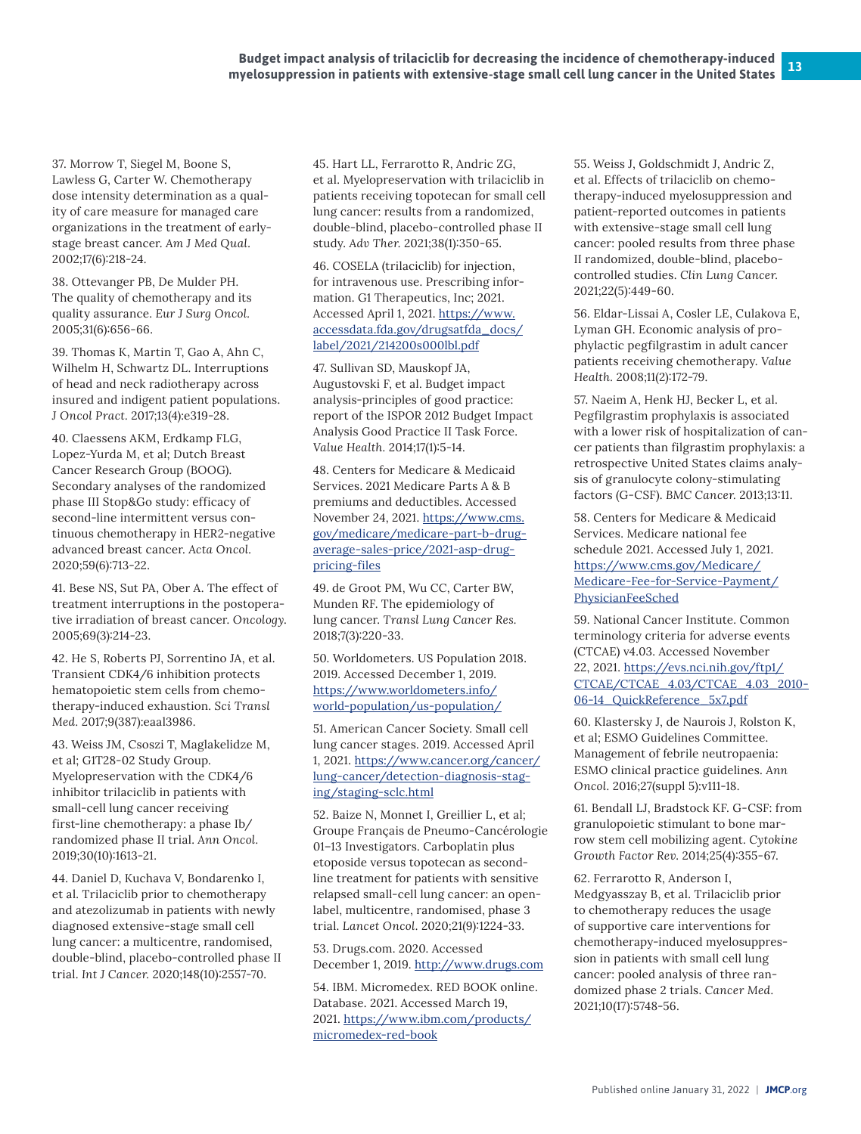37. Morrow T, Siegel M, Boone S, Lawless G, Carter W. Chemotherapy dose intensity determination as a quality of care measure for managed care organizations in the treatment of earlystage breast cancer. *Am J Med Qual.*  2002;17(6):218-24.

38. Ottevanger PB, De Mulder PH. The quality of chemotherapy and its quality assurance. *Eur J Surg Oncol.*  2005;31(6):656-66.

39. Thomas K, Martin T, Gao A, Ahn C, Wilhelm H, Schwartz DL. Interruptions of head and neck radiotherapy across insured and indigent patient populations. *J Oncol Pract.* 2017;13(4):e319-28.

40. Claessens AKM, Erdkamp FLG, Lopez-Yurda M, et al; Dutch Breast Cancer Research Group (BOOG). Secondary analyses of the randomized phase III Stop&Go study: efficacy of second-line intermittent versus continuous chemotherapy in HER2-negative advanced breast cancer. *Acta Oncol.*  2020;59(6):713-22.

41. Bese NS, Sut PA, Ober A. The effect of treatment interruptions in the postoperative irradiation of breast cancer. *Oncology*. 2005;69(3):214-23.

42. He S, Roberts PJ, Sorrentino JA, et al. Transient CDK4/6 inhibition protects hematopoietic stem cells from chemotherapy-induced exhaustion. *Sci Transl Med.* 2017;9(387):eaal3986.

43. Weiss JM, Csoszi T, Maglakelidze M, et al; G1T28-02 Study Group. Myelopreservation with the CDK4/6 inhibitor trilaciclib in patients with small-cell lung cancer receiving first-line chemotherapy: a phase Ib/ randomized phase II trial. *Ann Oncol.*  2019;30(10):1613-21.

44. Daniel D, Kuchava V, Bondarenko I, et al. Trilaciclib prior to chemotherapy and atezolizumab in patients with newly diagnosed extensive-stage small cell lung cancer: a multicentre, randomised, double-blind, placebo-controlled phase II trial. *Int J Cancer.* 2020;148(10):2557-70.

45. Hart LL, Ferrarotto R, Andric ZG, et al. Myelopreservation with trilaciclib in patients receiving topotecan for small cell lung cancer: results from a randomized, double-blind, placebo-controlled phase II study. *Adv Ther.* 2021;38(1):350-65.

46. COSELA (trilaciclib) for injection, for intravenous use. Prescribing information. G1 Therapeutics, Inc; 2021. Accessed April 1, 2021. [https://www.](https://www.accessdata.fda.gov/drugsatfda_docs/label/2021/214200s000lbl.pdf) [accessdata.fda.gov/drugsatfda\\_docs/](https://www.accessdata.fda.gov/drugsatfda_docs/label/2021/214200s000lbl.pdf) [label/2021/214200s000lbl.pdf](https://www.accessdata.fda.gov/drugsatfda_docs/label/2021/214200s000lbl.pdf)

47. Sullivan SD, Mauskopf JA, Augustovski F, et al. Budget impact analysis-principles of good practice: report of the ISPOR 2012 Budget Impact Analysis Good Practice II Task Force. *Value Health.* 2014;17(1):5-14.

48. Centers for Medicare & Medicaid Services. 2021 Medicare Parts A & B premiums and deductibles. Accessed November 24, 2021. [https://www.cms.](https://www.cms.gov/medicare/medicare-part-b-drug-average-sales-price/2021-asp-drug-pricing-files) [gov/medicare/medicare-part-b-drug](https://www.cms.gov/medicare/medicare-part-b-drug-average-sales-price/2021-asp-drug-pricing-files)[average-sales-price/2021-asp-drug](https://www.cms.gov/medicare/medicare-part-b-drug-average-sales-price/2021-asp-drug-pricing-files)[pricing-files](https://www.cms.gov/medicare/medicare-part-b-drug-average-sales-price/2021-asp-drug-pricing-files)

49. de Groot PM, Wu CC, Carter BW, Munden RF. The epidemiology of lung cancer. *Transl Lung Cancer Res.*  2018;7(3):220-33.

50. Worldometers. US Population 2018. 2019. Accessed December 1, 2019. [https://www.worldometers.info/](https://www.worldometers.info/world-population/us-population/) [world-population/us-population/](https://www.worldometers.info/world-population/us-population/)

51. American Cancer Society. Small cell lung cancer stages. 2019. Accessed April 1, 2021. [https://www.cancer.org/cancer/](https://www.cancer.org/cancer/lung-cancer/detection-diagnosis-staging/staging-sclc.html) [lung-cancer/detection-diagnosis-stag](https://www.cancer.org/cancer/lung-cancer/detection-diagnosis-staging/staging-sclc.html)[ing/staging-sclc.htm](https://www.cancer.org/cancer/lung-cancer/detection-diagnosis-staging/staging-sclc.html)l

52. Baize N, Monnet I, Greillier L, et al; Groupe Français de Pneumo-Cancérologie 01–13 Investigators. Carboplatin plus etoposide versus topotecan as secondline treatment for patients with sensitive relapsed small-cell lung cancer: an openlabel, multicentre, randomised, phase 3 trial. *Lancet Oncol.* 2020;21(9):1224-33.

53. Drugs.com. 2020. Accessed December 1, 2019. <http://www.drugs.com>

54. IBM. Micromedex. RED BOOK online. Database. 2021. Accessed March 19, 2021. [https://www.ibm.com/products/](https://www.ibm.com/products/micromedex-red-book) [micromedex-red-book](https://www.ibm.com/products/micromedex-red-book)

55. Weiss J, Goldschmidt J, Andric Z, et al. Effects of trilaciclib on chemotherapy-induced myelosuppression and patient-reported outcomes in patients with extensive-stage small cell lung cancer: pooled results from three phase II randomized, double-blind, placebocontrolled studies. *Clin Lung Cancer.*  2021;22(5):449-60.

56. Eldar-Lissai A, Cosler LE, Culakova E, Lyman GH. Economic analysis of prophylactic pegfilgrastim in adult cancer patients receiving chemotherapy. *Value Health.* 2008;11(2):172-79.

57. Naeim A, Henk HJ, Becker L, et al. Pegfilgrastim prophylaxis is associated with a lower risk of hospitalization of cancer patients than filgrastim prophylaxis: a retrospective United States claims analysis of granulocyte colony-stimulating factors (G-CSF). *BMC Cancer.* 2013;13:11.

58. Centers for Medicare & Medicaid Services. Medicare national fee schedule 2021. Accessed July 1, 2021. [https://www.cms.gov/Medicare/](https://www.cms.gov/Medicare/Medicare-Fee-for-Service-Payment/PhysicianFeeSched) [Medicare-Fee-for-Service-Payment/](https://www.cms.gov/Medicare/Medicare-Fee-for-Service-Payment/PhysicianFeeSched) [PhysicianFeeSched](https://www.cms.gov/Medicare/Medicare-Fee-for-Service-Payment/PhysicianFeeSched)

59. National Cancer Institute. Common terminology criteria for adverse events (CTCAE) v4.03. Accessed November 22, 2021. [https://evs.nci.nih.gov/ftp1/](https://evs.nci.nih.gov/ftp1/CTCAE/CTCAE_4.03/CTCAE_4.03_2010-06-14_QuickReference_5x7.pdf) [CTCAE/CTCAE\\_4.03/CTCAE\\_4.03\\_2010-](https://evs.nci.nih.gov/ftp1/CTCAE/CTCAE_4.03/CTCAE_4.03_2010-06-14_QuickReference_5x7.pdf) [06-14\\_QuickReference\\_5x7.pdf](https://evs.nci.nih.gov/ftp1/CTCAE/CTCAE_4.03/CTCAE_4.03_2010-06-14_QuickReference_5x7.pdf)

60. Klastersky J, de Naurois J, Rolston K, et al; ESMO Guidelines Committee. Management of febrile neutropaenia: ESMO clinical practice guidelines. *Ann Oncol.* 2016;27(suppl 5):v111-18.

61. Bendall LJ, Bradstock KF. G-CSF: from granulopoietic stimulant to bone marrow stem cell mobilizing agent. *Cytokine Growth Factor Rev*. 2014;25(4):355-67.

62. Ferrarotto R, Anderson I, Medgyasszay B, et al. Trilaciclib prior to chemotherapy reduces the usage of supportive care interventions for chemotherapy-induced myelosuppression in patients with small cell lung cancer: pooled analysis of three randomized phase 2 trials. *Cancer Med.*  2021;10(17):5748-56.